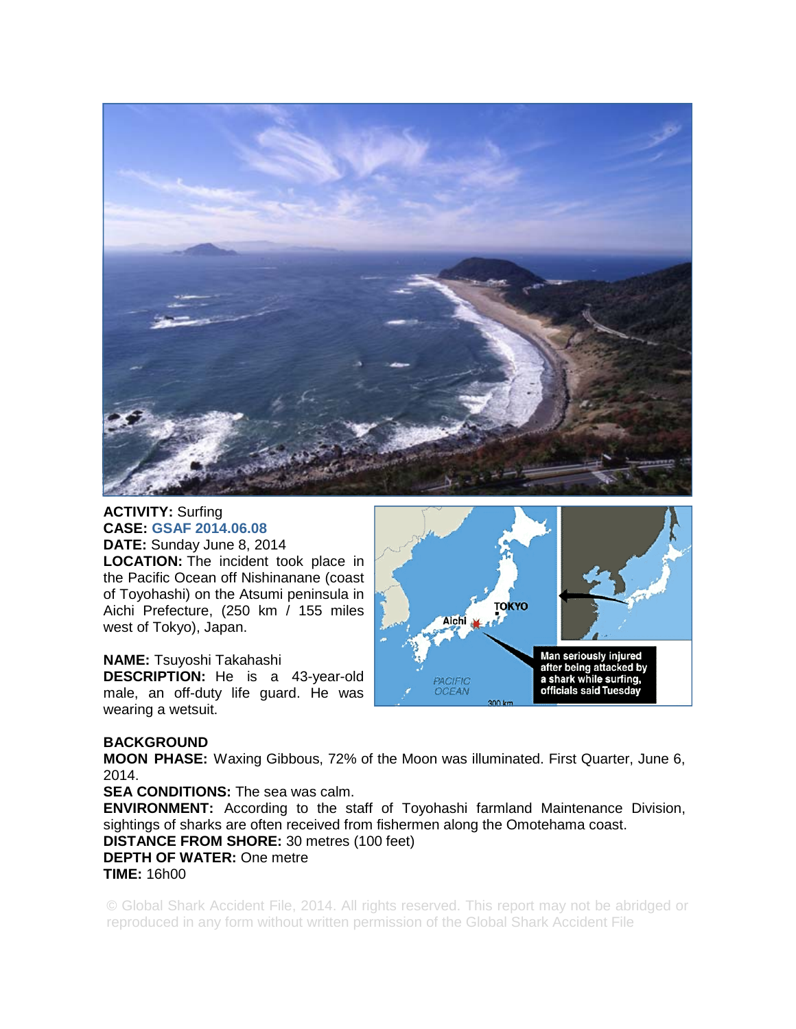

**ACTIVITY:** Surfing **CASE: GSAF 2014.06.08 DATE:** Sunday June 8, 2014 **LOCATION:** The incident took place in the Pacific Ocean off Nishinanane (coast of Toyohashi) on the Atsumi peninsula in Aichi Prefecture, (250 km / 155 miles west of Tokyo), Japan.

**NAME:** Tsuyoshi Takahashi

**DESCRIPTION:** He is a 43-year-old male, an off-duty life guard. He was wearing a wetsuit.



## **BACKGROUND**

**MOON PHASE:** Waxing Gibbous, 72% of the Moon was illuminated. First Quarter, June 6, 2014.

**SEA CONDITIONS:** The sea was calm.

**ENVIRONMENT:** According to the staff of Toyohashi farmland Maintenance Division, sightings of sharks are often received from fishermen along the Omotehama coast. **DISTANCE FROM SHORE:** 30 metres (100 feet) **DEPTH OF WATER:** One metre **TIME:** 16h00

© Global Shark Accident File, 2014. All rights reserved. This report may not be abridged or reproduced in any form without written permission of the Global Shark Accident File